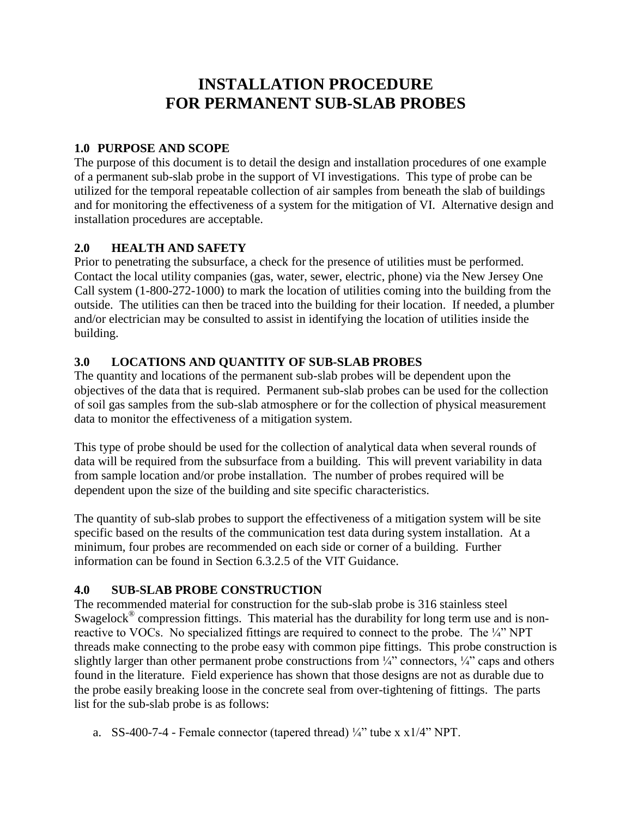# **INSTALLATION PROCEDURE FOR PERMANENT SUB-SLAB PROBES**

# **1.0 PURPOSE AND SCOPE**

The purpose of this document is to detail the design and installation procedures of one example of a permanent sub-slab probe in the support of VI investigations. This type of probe can be utilized for the temporal repeatable collection of air samples from beneath the slab of buildings and for monitoring the effectiveness of a system for the mitigation of VI. Alternative design and installation procedures are acceptable.

# **2.0 HEALTH AND SAFETY**

Prior to penetrating the subsurface, a check for the presence of utilities must be performed. Contact the local utility companies (gas, water, sewer, electric, phone) via the New Jersey One Call system (1-800-272-1000) to mark the location of utilities coming into the building from the outside. The utilities can then be traced into the building for their location. If needed, a plumber and/or electrician may be consulted to assist in identifying the location of utilities inside the building.

# **3.0 LOCATIONS AND QUANTITY OF SUB-SLAB PROBES**

The quantity and locations of the permanent sub-slab probes will be dependent upon the objectives of the data that is required. Permanent sub-slab probes can be used for the collection of soil gas samples from the sub-slab atmosphere or for the collection of physical measurement data to monitor the effectiveness of a mitigation system.

This type of probe should be used for the collection of analytical data when several rounds of data will be required from the subsurface from a building. This will prevent variability in data from sample location and/or probe installation. The number of probes required will be dependent upon the size of the building and site specific characteristics.

The quantity of sub-slab probes to support the effectiveness of a mitigation system will be site specific based on the results of the communication test data during system installation. At a minimum, four probes are recommended on each side or corner of a building. Further information can be found in Section 6.3.2.5 of the VIT Guidance.

#### **4.0 SUB-SLAB PROBE CONSTRUCTION**

The recommended material for construction for the sub-slab probe is 316 stainless steel Swagelock<sup>®</sup> compression fittings. This material has the durability for long term use and is nonreactive to VOCs. No specialized fittings are required to connect to the probe. The ¼" NPT threads make connecting to the probe easy with common pipe fittings. This probe construction is slightly larger than other permanent probe constructions from  $\frac{1}{4}$  connectors,  $\frac{1}{4}$  caps and others found in the literature. Field experience has shown that those designs are not as durable due to the probe easily breaking loose in the concrete seal from over-tightening of fittings. The parts list for the sub-slab probe is as follows:

a. SS-400-7-4 - Female connector (tapered thread)  $\frac{1}{4}$ " tube x x1/4" NPT.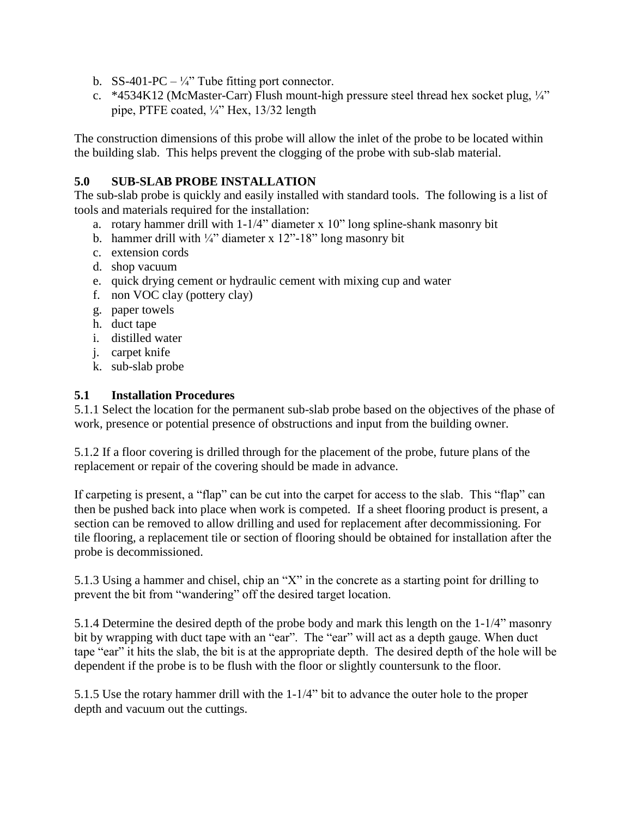- b. SS-401-PC  $\frac{1}{4}$  Tube fitting port connector.
- c. \*4534K12 (McMaster-Carr) Flush mount-high pressure steel thread hex socket plug,  $\frac{1}{4}$ " pipe, PTFE coated, ¼" Hex, 13/32 length

The construction dimensions of this probe will allow the inlet of the probe to be located within the building slab. This helps prevent the clogging of the probe with sub-slab material.

#### **5.0 SUB-SLAB PROBE INSTALLATION**

The sub-slab probe is quickly and easily installed with standard tools. The following is a list of tools and materials required for the installation:

- a. rotary hammer drill with 1-1/4" diameter x 10" long spline-shank masonry bit
- b. hammer drill with  $\frac{1}{4}$ " diameter x 12"-18" long masonry bit
- c. extension cords
- d. shop vacuum
- e. quick drying cement or hydraulic cement with mixing cup and water
- f. non VOC clay (pottery clay)
- g. paper towels
- h. duct tape
- i. distilled water
- j. carpet knife
- k. sub-slab probe

#### **5.1 Installation Procedures**

5.1.1 Select the location for the permanent sub-slab probe based on the objectives of the phase of work, presence or potential presence of obstructions and input from the building owner.

5.1.2 If a floor covering is drilled through for the placement of the probe, future plans of the replacement or repair of the covering should be made in advance.

If carpeting is present, a "flap" can be cut into the carpet for access to the slab. This "flap" can then be pushed back into place when work is competed. If a sheet flooring product is present, a section can be removed to allow drilling and used for replacement after decommissioning. For tile flooring, a replacement tile or section of flooring should be obtained for installation after the probe is decommissioned.

5.1.3 Using a hammer and chisel, chip an "X" in the concrete as a starting point for drilling to prevent the bit from "wandering" off the desired target location.

5.1.4 Determine the desired depth of the probe body and mark this length on the 1-1/4" masonry bit by wrapping with duct tape with an "ear". The "ear" will act as a depth gauge. When duct tape "ear" it hits the slab, the bit is at the appropriate depth. The desired depth of the hole will be dependent if the probe is to be flush with the floor or slightly countersunk to the floor.

5.1.5 Use the rotary hammer drill with the 1-1/4" bit to advance the outer hole to the proper depth and vacuum out the cuttings.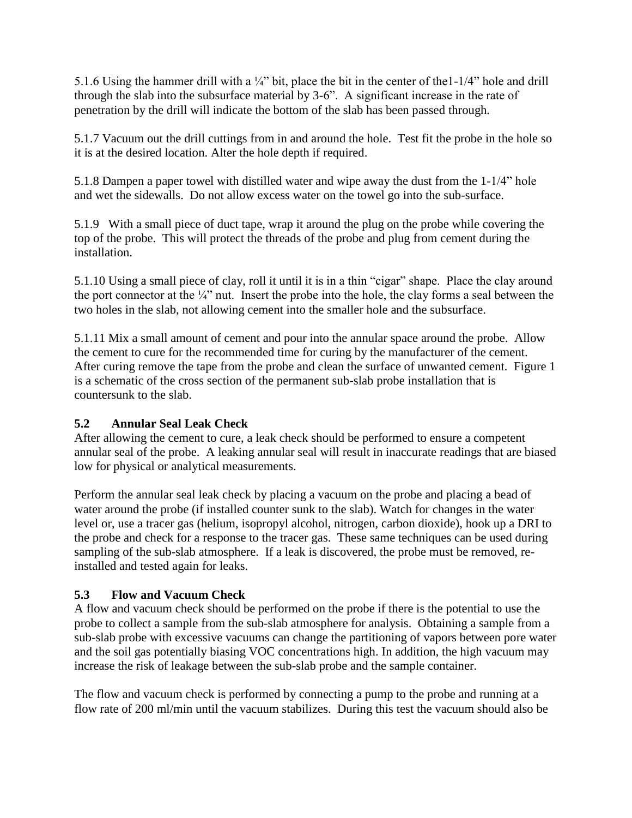5.1.6 Using the hammer drill with a ¼" bit, place the bit in the center of the1-1/4" hole and drill through the slab into the subsurface material by 3-6". A significant increase in the rate of penetration by the drill will indicate the bottom of the slab has been passed through.

5.1.7 Vacuum out the drill cuttings from in and around the hole. Test fit the probe in the hole so it is at the desired location. Alter the hole depth if required.

5.1.8 Dampen a paper towel with distilled water and wipe away the dust from the 1-1/4" hole and wet the sidewalls. Do not allow excess water on the towel go into the sub-surface.

5.1.9 With a small piece of duct tape, wrap it around the plug on the probe while covering the top of the probe. This will protect the threads of the probe and plug from cement during the installation.

5.1.10 Using a small piece of clay, roll it until it is in a thin "cigar" shape. Place the clay around the port connector at the  $\frac{1}{4}$ " nut. Insert the probe into the hole, the clay forms a seal between the two holes in the slab, not allowing cement into the smaller hole and the subsurface.

5.1.11 Mix a small amount of cement and pour into the annular space around the probe. Allow the cement to cure for the recommended time for curing by the manufacturer of the cement. After curing remove the tape from the probe and clean the surface of unwanted cement. Figure 1 is a schematic of the cross section of the permanent sub-slab probe installation that is countersunk to the slab.

# **5.2 Annular Seal Leak Check**

After allowing the cement to cure, a leak check should be performed to ensure a competent annular seal of the probe. A leaking annular seal will result in inaccurate readings that are biased low for physical or analytical measurements.

Perform the annular seal leak check by placing a vacuum on the probe and placing a bead of water around the probe (if installed counter sunk to the slab). Watch for changes in the water level or, use a tracer gas (helium, isopropyl alcohol, nitrogen, carbon dioxide), hook up a DRI to the probe and check for a response to the tracer gas. These same techniques can be used during sampling of the sub-slab atmosphere. If a leak is discovered, the probe must be removed, reinstalled and tested again for leaks.

# **5.3 Flow and Vacuum Check**

A flow and vacuum check should be performed on the probe if there is the potential to use the probe to collect a sample from the sub-slab atmosphere for analysis. Obtaining a sample from a sub-slab probe with excessive vacuums can change the partitioning of vapors between pore water and the soil gas potentially biasing VOC concentrations high. In addition, the high vacuum may increase the risk of leakage between the sub-slab probe and the sample container.

The flow and vacuum check is performed by connecting a pump to the probe and running at a flow rate of 200 ml/min until the vacuum stabilizes. During this test the vacuum should also be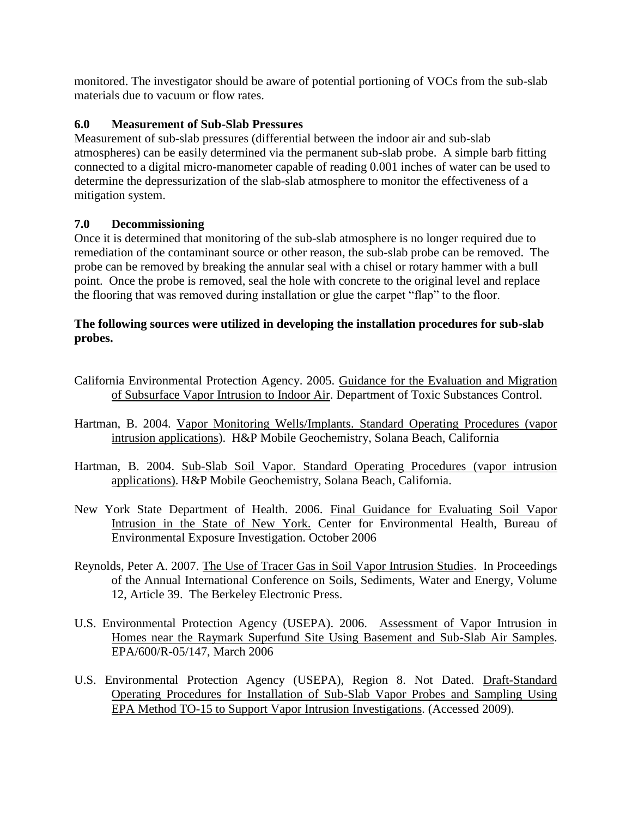monitored. The investigator should be aware of potential portioning of VOCs from the sub-slab materials due to vacuum or flow rates.

#### **6.0 Measurement of Sub-Slab Pressures**

Measurement of sub-slab pressures (differential between the indoor air and sub-slab atmospheres) can be easily determined via the permanent sub-slab probe. A simple barb fitting connected to a digital micro-manometer capable of reading 0.001 inches of water can be used to determine the depressurization of the slab-slab atmosphere to monitor the effectiveness of a mitigation system.

# **7.0 Decommissioning**

Once it is determined that monitoring of the sub-slab atmosphere is no longer required due to remediation of the contaminant source or other reason, the sub-slab probe can be removed. The probe can be removed by breaking the annular seal with a chisel or rotary hammer with a bull point. Once the probe is removed, seal the hole with concrete to the original level and replace the flooring that was removed during installation or glue the carpet "flap" to the floor.

#### **The following sources were utilized in developing the installation procedures for sub-slab probes.**

- California Environmental Protection Agency. 2005. Guidance for the Evaluation and Migration of Subsurface Vapor Intrusion to Indoor Air. Department of Toxic Substances Control.
- Hartman, B. 2004. Vapor Monitoring Wells/Implants. Standard Operating Procedures (vapor intrusion applications). H&P Mobile Geochemistry, Solana Beach, California
- Hartman, B. 2004. Sub-Slab Soil Vapor. Standard Operating Procedures (vapor intrusion applications). H&P Mobile Geochemistry, Solana Beach, California.
- New York State Department of Health. 2006. Final Guidance for Evaluating Soil Vapor Intrusion in the State of New York. Center for Environmental Health, Bureau of Environmental Exposure Investigation. October 2006
- Reynolds, Peter A. 2007. The Use of Tracer Gas in Soil Vapor Intrusion Studies. In Proceedings of the Annual International Conference on Soils, Sediments, Water and Energy, Volume 12, Article 39. The Berkeley Electronic Press.
- U.S. Environmental Protection Agency (USEPA). 2006. Assessment of Vapor Intrusion in Homes near the Raymark Superfund Site Using Basement and Sub-Slab Air Samples. EPA/600/R-05/147, March 2006
- U.S. Environmental Protection Agency (USEPA), Region 8. Not Dated. Draft-Standard Operating Procedures for Installation of Sub-Slab Vapor Probes and Sampling Using EPA Method TO-15 to Support Vapor Intrusion Investigations. (Accessed 2009).